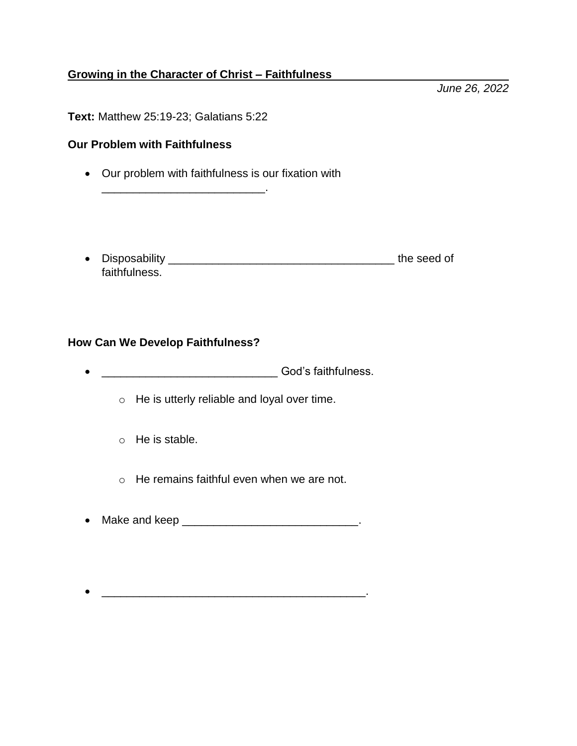## **Growing in the Character of Christ – Faithfulness**

**Text:** Matthew 25:19-23; Galatians 5:22

\_\_\_\_\_\_\_\_\_\_\_\_\_\_\_\_\_\_\_\_\_\_\_\_\_\_.

## **Our Problem with Faithfulness**

- Our problem with faithfulness is our fixation with
- Disposability \_\_\_\_\_\_\_\_\_\_\_\_\_\_\_\_\_\_\_\_\_\_\_\_\_\_\_\_\_\_\_\_\_\_\_\_ the seed of faithfulness.

## **How Can We Develop Faithfulness?**

- \_\_\_\_\_\_\_\_\_\_\_\_\_\_\_\_\_\_\_\_\_\_\_\_\_\_\_\_\_\_\_\_\_God's faithfulness.
	- o He is utterly reliable and loyal over time.
	- o He is stable.
	- $\circ$  He remains faithful even when we are not.
- Make and keep \_\_\_\_\_\_\_\_\_\_\_\_\_\_\_\_\_\_\_\_\_\_\_\_\_\_\_\_\_.
- $\frac{1}{2}$  ,  $\frac{1}{2}$  ,  $\frac{1}{2}$  ,  $\frac{1}{2}$  ,  $\frac{1}{2}$  ,  $\frac{1}{2}$  ,  $\frac{1}{2}$  ,  $\frac{1}{2}$  ,  $\frac{1}{2}$  ,  $\frac{1}{2}$  ,  $\frac{1}{2}$  ,  $\frac{1}{2}$  ,  $\frac{1}{2}$  ,  $\frac{1}{2}$  ,  $\frac{1}{2}$  ,  $\frac{1}{2}$  ,  $\frac{1}{2}$  ,  $\frac{1}{2}$  ,  $\frac{1$